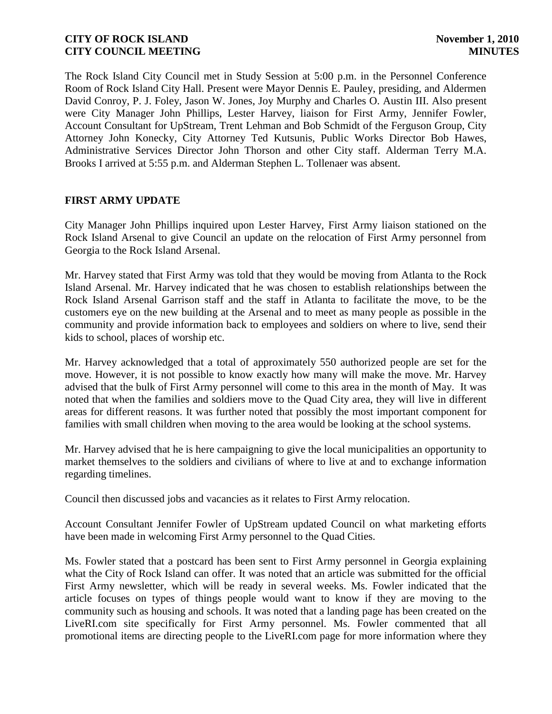The Rock Island City Council met in Study Session at 5:00 p.m. in the Personnel Conference Room of Rock Island City Hall. Present were Mayor Dennis E. Pauley, presiding, and Aldermen David Conroy, P. J. Foley, Jason W. Jones, Joy Murphy and Charles O. Austin III. Also present were City Manager John Phillips, Lester Harvey, liaison for First Army, Jennifer Fowler, Account Consultant for UpStream, Trent Lehman and Bob Schmidt of the Ferguson Group, City Attorney John Konecky, City Attorney Ted Kutsunis, Public Works Director Bob Hawes, Administrative Services Director John Thorson and other City staff. Alderman Terry M.A. Brooks I arrived at 5:55 p.m. and Alderman Stephen L. Tollenaer was absent.

# **FIRST ARMY UPDATE**

City Manager John Phillips inquired upon Lester Harvey, First Army liaison stationed on the Rock Island Arsenal to give Council an update on the relocation of First Army personnel from Georgia to the Rock Island Arsenal.

Mr. Harvey stated that First Army was told that they would be moving from Atlanta to the Rock Island Arsenal. Mr. Harvey indicated that he was chosen to establish relationships between the Rock Island Arsenal Garrison staff and the staff in Atlanta to facilitate the move, to be the customers eye on the new building at the Arsenal and to meet as many people as possible in the community and provide information back to employees and soldiers on where to live, send their kids to school, places of worship etc.

Mr. Harvey acknowledged that a total of approximately 550 authorized people are set for the move. However, it is not possible to know exactly how many will make the move. Mr. Harvey advised that the bulk of First Army personnel will come to this area in the month of May. It was noted that when the families and soldiers move to the Quad City area, they will live in different areas for different reasons. It was further noted that possibly the most important component for families with small children when moving to the area would be looking at the school systems.

Mr. Harvey advised that he is here campaigning to give the local municipalities an opportunity to market themselves to the soldiers and civilians of where to live at and to exchange information regarding timelines.

Council then discussed jobs and vacancies as it relates to First Army relocation.

Account Consultant Jennifer Fowler of UpStream updated Council on what marketing efforts have been made in welcoming First Army personnel to the Quad Cities.

Ms. Fowler stated that a postcard has been sent to First Army personnel in Georgia explaining what the City of Rock Island can offer. It was noted that an article was submitted for the official First Army newsletter, which will be ready in several weeks. Ms. Fowler indicated that the article focuses on types of things people would want to know if they are moving to the community such as housing and schools. It was noted that a landing page has been created on the LiveRI.com site specifically for First Army personnel. Ms. Fowler commented that all promotional items are directing people to the LiveRI.com page for more information where they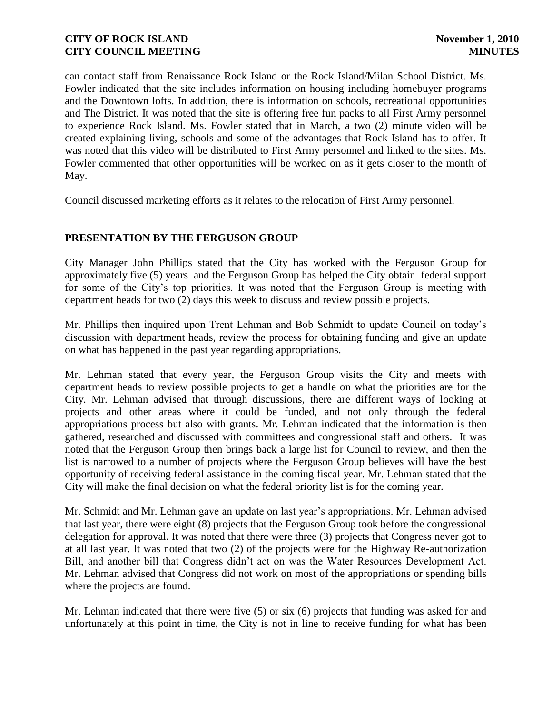can contact staff from Renaissance Rock Island or the Rock Island/Milan School District. Ms. Fowler indicated that the site includes information on housing including homebuyer programs and the Downtown lofts. In addition, there is information on schools, recreational opportunities and The District. It was noted that the site is offering free fun packs to all First Army personnel to experience Rock Island. Ms. Fowler stated that in March, a two (2) minute video will be created explaining living, schools and some of the advantages that Rock Island has to offer. It was noted that this video will be distributed to First Army personnel and linked to the sites. Ms. Fowler commented that other opportunities will be worked on as it gets closer to the month of May.

Council discussed marketing efforts as it relates to the relocation of First Army personnel.

# **PRESENTATION BY THE FERGUSON GROUP**

City Manager John Phillips stated that the City has worked with the Ferguson Group for approximately five (5) years and the Ferguson Group has helped the City obtain federal support for some of the City's top priorities. It was noted that the Ferguson Group is meeting with department heads for two (2) days this week to discuss and review possible projects.

Mr. Phillips then inquired upon Trent Lehman and Bob Schmidt to update Council on today's discussion with department heads, review the process for obtaining funding and give an update on what has happened in the past year regarding appropriations.

Mr. Lehman stated that every year, the Ferguson Group visits the City and meets with department heads to review possible projects to get a handle on what the priorities are for the City. Mr. Lehman advised that through discussions, there are different ways of looking at projects and other areas where it could be funded, and not only through the federal appropriations process but also with grants. Mr. Lehman indicated that the information is then gathered, researched and discussed with committees and congressional staff and others. It was noted that the Ferguson Group then brings back a large list for Council to review, and then the list is narrowed to a number of projects where the Ferguson Group believes will have the best opportunity of receiving federal assistance in the coming fiscal year. Mr. Lehman stated that the City will make the final decision on what the federal priority list is for the coming year.

Mr. Schmidt and Mr. Lehman gave an update on last year's appropriations. Mr. Lehman advised that last year, there were eight (8) projects that the Ferguson Group took before the congressional delegation for approval. It was noted that there were three (3) projects that Congress never got to at all last year. It was noted that two (2) of the projects were for the Highway Re-authorization Bill, and another bill that Congress didn't act on was the Water Resources Development Act. Mr. Lehman advised that Congress did not work on most of the appropriations or spending bills where the projects are found.

Mr. Lehman indicated that there were five (5) or six (6) projects that funding was asked for and unfortunately at this point in time, the City is not in line to receive funding for what has been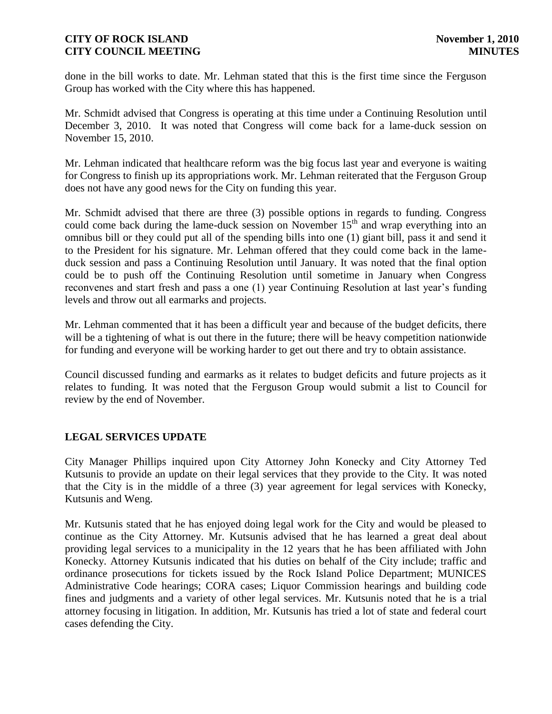done in the bill works to date. Mr. Lehman stated that this is the first time since the Ferguson Group has worked with the City where this has happened.

Mr. Schmidt advised that Congress is operating at this time under a Continuing Resolution until December 3, 2010. It was noted that Congress will come back for a lame-duck session on November 15, 2010.

Mr. Lehman indicated that healthcare reform was the big focus last year and everyone is waiting for Congress to finish up its appropriations work. Mr. Lehman reiterated that the Ferguson Group does not have any good news for the City on funding this year.

Mr. Schmidt advised that there are three (3) possible options in regards to funding. Congress could come back during the lame-duck session on November  $15<sup>th</sup>$  and wrap everything into an omnibus bill or they could put all of the spending bills into one (1) giant bill, pass it and send it to the President for his signature. Mr. Lehman offered that they could come back in the lameduck session and pass a Continuing Resolution until January. It was noted that the final option could be to push off the Continuing Resolution until sometime in January when Congress reconvenes and start fresh and pass a one (1) year Continuing Resolution at last year's funding levels and throw out all earmarks and projects.

Mr. Lehman commented that it has been a difficult year and because of the budget deficits, there will be a tightening of what is out there in the future; there will be heavy competition nationwide for funding and everyone will be working harder to get out there and try to obtain assistance.

Council discussed funding and earmarks as it relates to budget deficits and future projects as it relates to funding. It was noted that the Ferguson Group would submit a list to Council for review by the end of November.

# **LEGAL SERVICES UPDATE**

City Manager Phillips inquired upon City Attorney John Konecky and City Attorney Ted Kutsunis to provide an update on their legal services that they provide to the City. It was noted that the City is in the middle of a three (3) year agreement for legal services with Konecky, Kutsunis and Weng.

Mr. Kutsunis stated that he has enjoyed doing legal work for the City and would be pleased to continue as the City Attorney. Mr. Kutsunis advised that he has learned a great deal about providing legal services to a municipality in the 12 years that he has been affiliated with John Konecky. Attorney Kutsunis indicated that his duties on behalf of the City include; traffic and ordinance prosecutions for tickets issued by the Rock Island Police Department; MUNICES Administrative Code hearings; CORA cases; Liquor Commission hearings and building code fines and judgments and a variety of other legal services. Mr. Kutsunis noted that he is a trial attorney focusing in litigation. In addition, Mr. Kutsunis has tried a lot of state and federal court cases defending the City.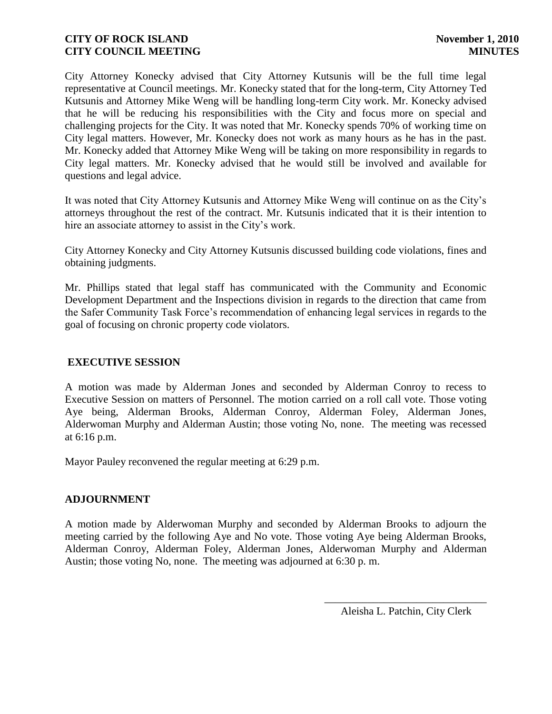City Attorney Konecky advised that City Attorney Kutsunis will be the full time legal representative at Council meetings. Mr. Konecky stated that for the long-term, City Attorney Ted Kutsunis and Attorney Mike Weng will be handling long-term City work. Mr. Konecky advised that he will be reducing his responsibilities with the City and focus more on special and challenging projects for the City. It was noted that Mr. Konecky spends 70% of working time on City legal matters. However, Mr. Konecky does not work as many hours as he has in the past. Mr. Konecky added that Attorney Mike Weng will be taking on more responsibility in regards to City legal matters. Mr. Konecky advised that he would still be involved and available for questions and legal advice.

It was noted that City Attorney Kutsunis and Attorney Mike Weng will continue on as the City's attorneys throughout the rest of the contract. Mr. Kutsunis indicated that it is their intention to hire an associate attorney to assist in the City's work.

City Attorney Konecky and City Attorney Kutsunis discussed building code violations, fines and obtaining judgments.

Mr. Phillips stated that legal staff has communicated with the Community and Economic Development Department and the Inspections division in regards to the direction that came from the Safer Community Task Force's recommendation of enhancing legal services in regards to the goal of focusing on chronic property code violators.

# **EXECUTIVE SESSION**

A motion was made by Alderman Jones and seconded by Alderman Conroy to recess to Executive Session on matters of Personnel. The motion carried on a roll call vote. Those voting Aye being, Alderman Brooks, Alderman Conroy, Alderman Foley, Alderman Jones, Alderwoman Murphy and Alderman Austin; those voting No, none. The meeting was recessed at 6:16 p.m.

Mayor Pauley reconvened the regular meeting at 6:29 p.m.

### **ADJOURNMENT**

A motion made by Alderwoman Murphy and seconded by Alderman Brooks to adjourn the meeting carried by the following Aye and No vote. Those voting Aye being Alderman Brooks, Alderman Conroy, Alderman Foley, Alderman Jones, Alderwoman Murphy and Alderman Austin; those voting No, none. The meeting was adjourned at 6:30 p. m.

> \_\_\_\_\_\_\_\_\_\_\_\_\_\_\_\_\_\_\_\_\_\_\_\_\_\_\_\_\_\_ Aleisha L. Patchin, City Clerk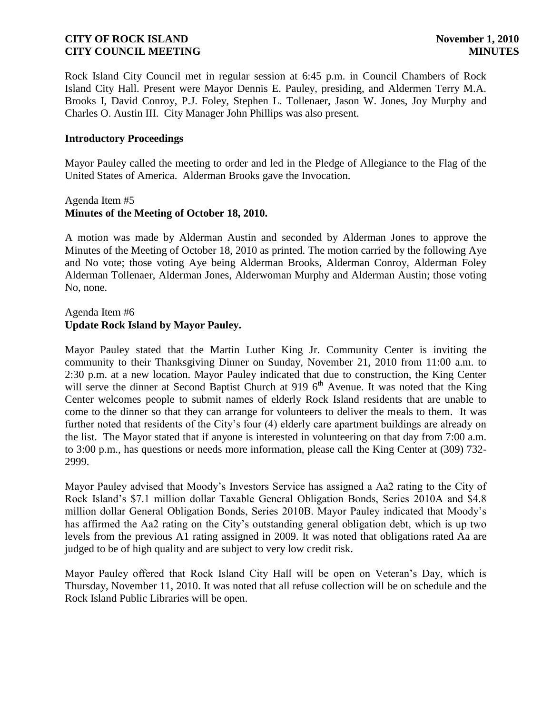Rock Island City Council met in regular session at 6:45 p.m. in Council Chambers of Rock Island City Hall. Present were Mayor Dennis E. Pauley, presiding, and Aldermen Terry M.A. Brooks I, David Conroy, P.J. Foley, Stephen L. Tollenaer, Jason W. Jones, Joy Murphy and Charles O. Austin III. City Manager John Phillips was also present.

### **Introductory Proceedings**

Mayor Pauley called the meeting to order and led in the Pledge of Allegiance to the Flag of the United States of America. Alderman Brooks gave the Invocation.

### Agenda Item #5 **Minutes of the Meeting of October 18, 2010.**

A motion was made by Alderman Austin and seconded by Alderman Jones to approve the Minutes of the Meeting of October 18, 2010 as printed. The motion carried by the following Aye and No vote; those voting Aye being Alderman Brooks, Alderman Conroy, Alderman Foley Alderman Tollenaer, Alderman Jones, Alderwoman Murphy and Alderman Austin; those voting No, none.

# Agenda Item #6 **Update Rock Island by Mayor Pauley.**

Mayor Pauley stated that the Martin Luther King Jr. Community Center is inviting the community to their Thanksgiving Dinner on Sunday, November 21, 2010 from 11:00 a.m. to 2:30 p.m. at a new location. Mayor Pauley indicated that due to construction, the King Center will serve the dinner at Second Baptist Church at 919  $6<sup>th</sup>$  Avenue. It was noted that the King Center welcomes people to submit names of elderly Rock Island residents that are unable to come to the dinner so that they can arrange for volunteers to deliver the meals to them. It was further noted that residents of the City's four (4) elderly care apartment buildings are already on the list. The Mayor stated that if anyone is interested in volunteering on that day from 7:00 a.m. to 3:00 p.m., has questions or needs more information, please call the King Center at (309) 732- 2999.

Mayor Pauley advised that Moody's Investors Service has assigned a Aa2 rating to the City of Rock Island's \$7.1 million dollar Taxable General Obligation Bonds, Series 2010A and \$4.8 million dollar General Obligation Bonds, Series 2010B. Mayor Pauley indicated that Moody's has affirmed the Aa2 rating on the City's outstanding general obligation debt, which is up two levels from the previous A1 rating assigned in 2009. It was noted that obligations rated Aa are judged to be of high quality and are subject to very low credit risk.

Mayor Pauley offered that Rock Island City Hall will be open on Veteran's Day, which is Thursday, November 11, 2010. It was noted that all refuse collection will be on schedule and the Rock Island Public Libraries will be open.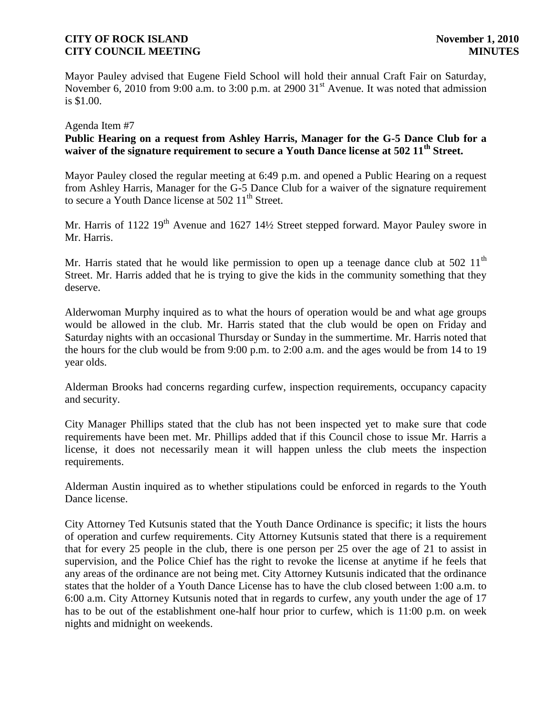Mayor Pauley advised that Eugene Field School will hold their annual Craft Fair on Saturday, November 6, 2010 from 9:00 a.m. to 3:00 p.m. at 2900  $31<sup>st</sup>$  Avenue. It was noted that admission is \$1.00.

### Agenda Item #7

## **Public Hearing on a request from Ashley Harris, Manager for the G-5 Dance Club for a waiver of the signature requirement to secure a Youth Dance license at 502 11th Street.**

Mayor Pauley closed the regular meeting at 6:49 p.m. and opened a Public Hearing on a request from Ashley Harris, Manager for the G-5 Dance Club for a waiver of the signature requirement to secure a Youth Dance license at  $502 11<sup>th</sup>$  Street.

Mr. Harris of 1122  $19<sup>th</sup>$  Avenue and 1627  $14\frac{1}{2}$  Street stepped forward. Mayor Pauley swore in Mr. Harris.

Mr. Harris stated that he would like permission to open up a teenage dance club at 502  $11<sup>th</sup>$ Street. Mr. Harris added that he is trying to give the kids in the community something that they deserve.

Alderwoman Murphy inquired as to what the hours of operation would be and what age groups would be allowed in the club. Mr. Harris stated that the club would be open on Friday and Saturday nights with an occasional Thursday or Sunday in the summertime. Mr. Harris noted that the hours for the club would be from 9:00 p.m. to 2:00 a.m. and the ages would be from 14 to 19 year olds.

Alderman Brooks had concerns regarding curfew, inspection requirements, occupancy capacity and security.

City Manager Phillips stated that the club has not been inspected yet to make sure that code requirements have been met. Mr. Phillips added that if this Council chose to issue Mr. Harris a license, it does not necessarily mean it will happen unless the club meets the inspection requirements.

Alderman Austin inquired as to whether stipulations could be enforced in regards to the Youth Dance license.

City Attorney Ted Kutsunis stated that the Youth Dance Ordinance is specific; it lists the hours of operation and curfew requirements. City Attorney Kutsunis stated that there is a requirement that for every 25 people in the club, there is one person per 25 over the age of 21 to assist in supervision, and the Police Chief has the right to revoke the license at anytime if he feels that any areas of the ordinance are not being met. City Attorney Kutsunis indicated that the ordinance states that the holder of a Youth Dance License has to have the club closed between 1:00 a.m. to 6:00 a.m. City Attorney Kutsunis noted that in regards to curfew, any youth under the age of 17 has to be out of the establishment one-half hour prior to curfew, which is 11:00 p.m. on week nights and midnight on weekends.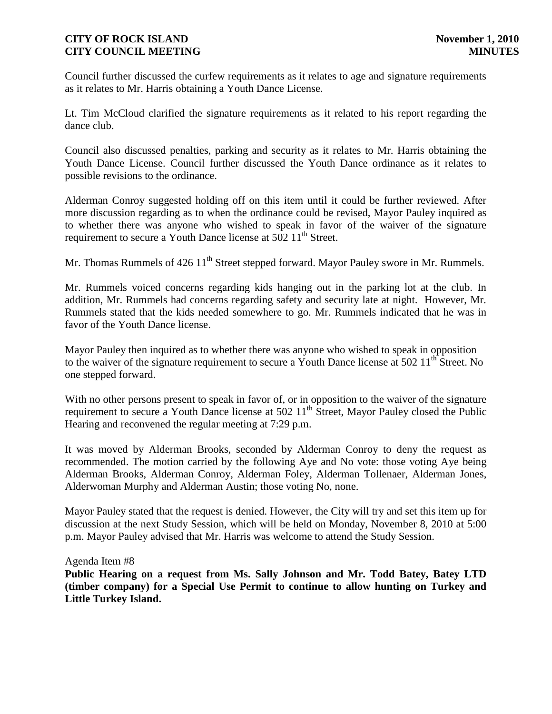Council further discussed the curfew requirements as it relates to age and signature requirements as it relates to Mr. Harris obtaining a Youth Dance License.

Lt. Tim McCloud clarified the signature requirements as it related to his report regarding the dance club.

Council also discussed penalties, parking and security as it relates to Mr. Harris obtaining the Youth Dance License. Council further discussed the Youth Dance ordinance as it relates to possible revisions to the ordinance.

Alderman Conroy suggested holding off on this item until it could be further reviewed. After more discussion regarding as to when the ordinance could be revised, Mayor Pauley inquired as to whether there was anyone who wished to speak in favor of the waiver of the signature requirement to secure a Youth Dance license at  $502 \, 11^{\text{th}}$  Street.

Mr. Thomas Rummels of 426 11<sup>th</sup> Street stepped forward. Mayor Pauley swore in Mr. Rummels.

Mr. Rummels voiced concerns regarding kids hanging out in the parking lot at the club. In addition, Mr. Rummels had concerns regarding safety and security late at night. However, Mr. Rummels stated that the kids needed somewhere to go. Mr. Rummels indicated that he was in favor of the Youth Dance license.

Mayor Pauley then inquired as to whether there was anyone who wished to speak in opposition to the waiver of the signature requirement to secure a Youth Dance license at 502  $11<sup>th</sup>$  Street. No one stepped forward.

With no other persons present to speak in favor of, or in opposition to the waiver of the signature requirement to secure a Youth Dance license at 502  $11<sup>th</sup>$  Street, Mayor Pauley closed the Public Hearing and reconvened the regular meeting at 7:29 p.m.

It was moved by Alderman Brooks, seconded by Alderman Conroy to deny the request as recommended. The motion carried by the following Aye and No vote: those voting Aye being Alderman Brooks, Alderman Conroy, Alderman Foley, Alderman Tollenaer, Alderman Jones, Alderwoman Murphy and Alderman Austin; those voting No, none.

Mayor Pauley stated that the request is denied. However, the City will try and set this item up for discussion at the next Study Session, which will be held on Monday, November 8, 2010 at 5:00 p.m. Mayor Pauley advised that Mr. Harris was welcome to attend the Study Session.

Agenda Item #8

**Public Hearing on a request from Ms. Sally Johnson and Mr. Todd Batey, Batey LTD (timber company) for a Special Use Permit to continue to allow hunting on Turkey and Little Turkey Island.**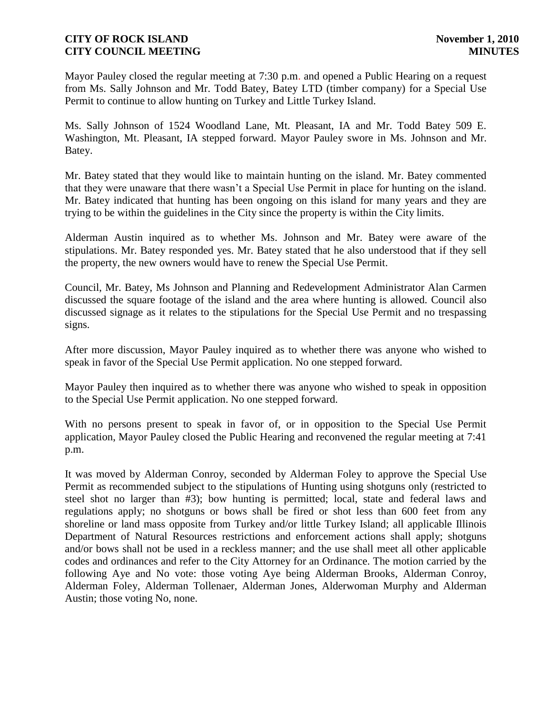Mayor Pauley closed the regular meeting at 7:30 p.m. and opened a Public Hearing on a request from Ms. Sally Johnson and Mr. Todd Batey, Batey LTD (timber company) for a Special Use Permit to continue to allow hunting on Turkey and Little Turkey Island.

Ms. Sally Johnson of 1524 Woodland Lane, Mt. Pleasant, IA and Mr. Todd Batey 509 E. Washington, Mt. Pleasant, IA stepped forward. Mayor Pauley swore in Ms. Johnson and Mr. Batey.

Mr. Batey stated that they would like to maintain hunting on the island. Mr. Batey commented that they were unaware that there wasn't a Special Use Permit in place for hunting on the island. Mr. Batey indicated that hunting has been ongoing on this island for many years and they are trying to be within the guidelines in the City since the property is within the City limits.

Alderman Austin inquired as to whether Ms. Johnson and Mr. Batey were aware of the stipulations. Mr. Batey responded yes. Mr. Batey stated that he also understood that if they sell the property, the new owners would have to renew the Special Use Permit.

Council, Mr. Batey, Ms Johnson and Planning and Redevelopment Administrator Alan Carmen discussed the square footage of the island and the area where hunting is allowed. Council also discussed signage as it relates to the stipulations for the Special Use Permit and no trespassing signs.

After more discussion, Mayor Pauley inquired as to whether there was anyone who wished to speak in favor of the Special Use Permit application. No one stepped forward.

Mayor Pauley then inquired as to whether there was anyone who wished to speak in opposition to the Special Use Permit application. No one stepped forward.

With no persons present to speak in favor of, or in opposition to the Special Use Permit application, Mayor Pauley closed the Public Hearing and reconvened the regular meeting at 7:41 p.m.

It was moved by Alderman Conroy, seconded by Alderman Foley to approve the Special Use Permit as recommended subject to the stipulations of Hunting using shotguns only (restricted to steel shot no larger than #3); bow hunting is permitted; local, state and federal laws and regulations apply; no shotguns or bows shall be fired or shot less than 600 feet from any shoreline or land mass opposite from Turkey and/or little Turkey Island; all applicable Illinois Department of Natural Resources restrictions and enforcement actions shall apply; shotguns and/or bows shall not be used in a reckless manner; and the use shall meet all other applicable codes and ordinances and refer to the City Attorney for an Ordinance. The motion carried by the following Aye and No vote: those voting Aye being Alderman Brooks, Alderman Conroy, Alderman Foley, Alderman Tollenaer, Alderman Jones, Alderwoman Murphy and Alderman Austin; those voting No, none.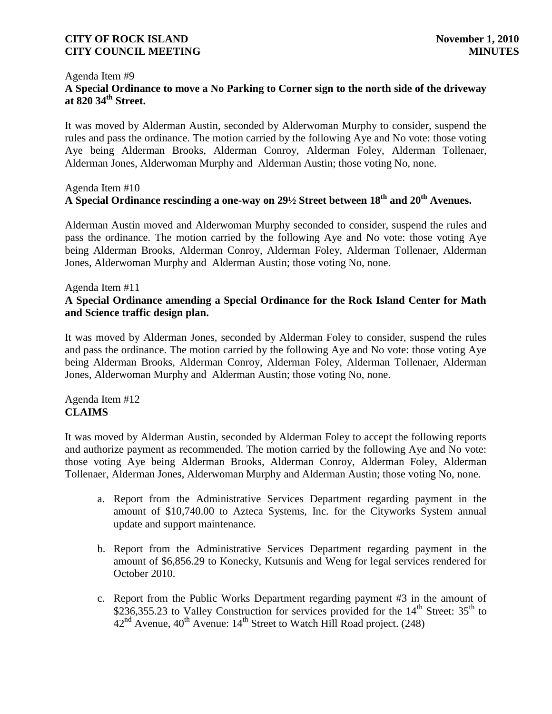### Agenda Item #9 **A Special Ordinance to move a No Parking to Corner sign to the north side of the driveway at 820 34th Street.**

It was moved by Alderman Austin, seconded by Alderwoman Murphy to consider, suspend the rules and pass the ordinance. The motion carried by the following Aye and No vote: those voting Aye being Alderman Brooks, Alderman Conroy, Alderman Foley, Alderman Tollenaer, Alderman Jones, Alderwoman Murphy and Alderman Austin; those voting No, none.

# Agenda Item #10 **A Special Ordinance rescinding a one-way on 29½ Street between 18th and 20th Avenues.**

Alderman Austin moved and Alderwoman Murphy seconded to consider, suspend the rules and pass the ordinance. The motion carried by the following Aye and No vote: those voting Aye being Alderman Brooks, Alderman Conroy, Alderman Foley, Alderman Tollenaer, Alderman Jones, Alderwoman Murphy and Alderman Austin; those voting No, none.

### Agenda Item #11

# **A Special Ordinance amending a Special Ordinance for the Rock Island Center for Math and Science traffic design plan.**

It was moved by Alderman Jones, seconded by Alderman Foley to consider, suspend the rules and pass the ordinance. The motion carried by the following Aye and No vote: those voting Aye being Alderman Brooks, Alderman Conroy, Alderman Foley, Alderman Tollenaer, Alderman Jones, Alderwoman Murphy and Alderman Austin; those voting No, none.

Agenda Item #12 **CLAIMS**

It was moved by Alderman Austin, seconded by Alderman Foley to accept the following reports and authorize payment as recommended. The motion carried by the following Aye and No vote: those voting Aye being Alderman Brooks, Alderman Conroy, Alderman Foley, Alderman Tollenaer, Alderman Jones, Alderwoman Murphy and Alderman Austin; those voting No, none.

- a. Report from the Administrative Services Department regarding payment in the amount of \$10,740.00 to Azteca Systems, Inc. for the Cityworks System annual update and support maintenance.
- b. Report from the Administrative Services Department regarding payment in the amount of \$6,856.29 to Konecky, Kutsunis and Weng for legal services rendered for October 2010.
- c. Report from the Public Works Department regarding payment #3 in the amount of \$236,355.23 to Valley Construction for services provided for the  $14<sup>th</sup>$  Street:  $35<sup>th</sup>$  to  $42<sup>nd</sup>$  Avenue,  $40<sup>th</sup>$  Avenue:  $14<sup>th</sup>$  Street to Watch Hill Road project. (248)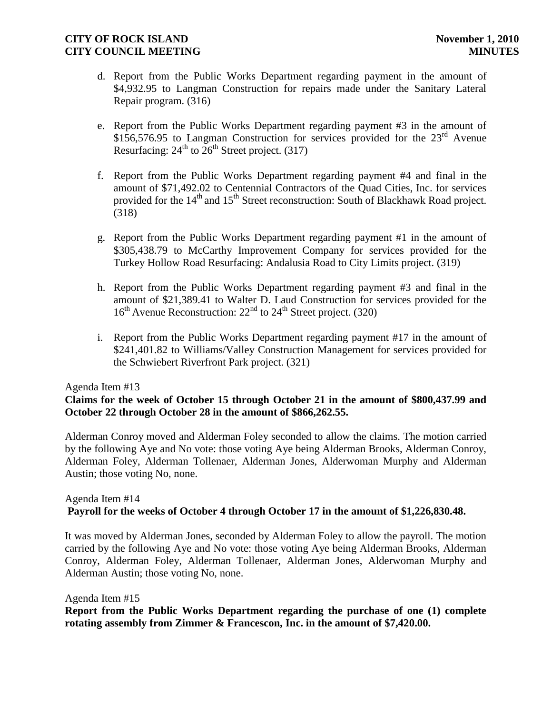- d. Report from the Public Works Department regarding payment in the amount of \$4,932.95 to Langman Construction for repairs made under the Sanitary Lateral Repair program. (316)
- e. Report from the Public Works Department regarding payment #3 in the amount of \$156,576.95 to Langman Construction for services provided for the  $23<sup>rd</sup>$  Avenue Resurfacing:  $24<sup>th</sup>$  to  $26<sup>th</sup>$  Street project. (317)
- f. Report from the Public Works Department regarding payment #4 and final in the amount of \$71,492.02 to Centennial Contractors of the Quad Cities, Inc. for services provided for the 14<sup>th</sup> and 15<sup>th</sup> Street reconstruction: South of Blackhawk Road project. (318)
- g. Report from the Public Works Department regarding payment #1 in the amount of \$305,438.79 to McCarthy Improvement Company for services provided for the Turkey Hollow Road Resurfacing: Andalusia Road to City Limits project. (319)
- h. Report from the Public Works Department regarding payment #3 and final in the amount of \$21,389.41 to Walter D. Laud Construction for services provided for the  $16<sup>th</sup>$  Avenue Reconstruction:  $22<sup>nd</sup>$  to  $24<sup>th</sup>$  Street project. (320)
- i. Report from the Public Works Department regarding payment #17 in the amount of \$241,401.82 to Williams/Valley Construction Management for services provided for the Schwiebert Riverfront Park project. (321)

#### Agenda Item #13

## **Claims for the week of October 15 through October 21 in the amount of \$800,437.99 and October 22 through October 28 in the amount of \$866,262.55.**

Alderman Conroy moved and Alderman Foley seconded to allow the claims. The motion carried by the following Aye and No vote: those voting Aye being Alderman Brooks, Alderman Conroy, Alderman Foley, Alderman Tollenaer, Alderman Jones, Alderwoman Murphy and Alderman Austin; those voting No, none.

### Agenda Item #14 **Payroll for the weeks of October 4 through October 17 in the amount of \$1,226,830.48.**

It was moved by Alderman Jones, seconded by Alderman Foley to allow the payroll. The motion carried by the following Aye and No vote: those voting Aye being Alderman Brooks, Alderman Conroy, Alderman Foley, Alderman Tollenaer, Alderman Jones, Alderwoman Murphy and Alderman Austin; those voting No, none.

#### Agenda Item #15

**Report from the Public Works Department regarding the purchase of one (1) complete rotating assembly from Zimmer & Francescon, Inc. in the amount of \$7,420.00.**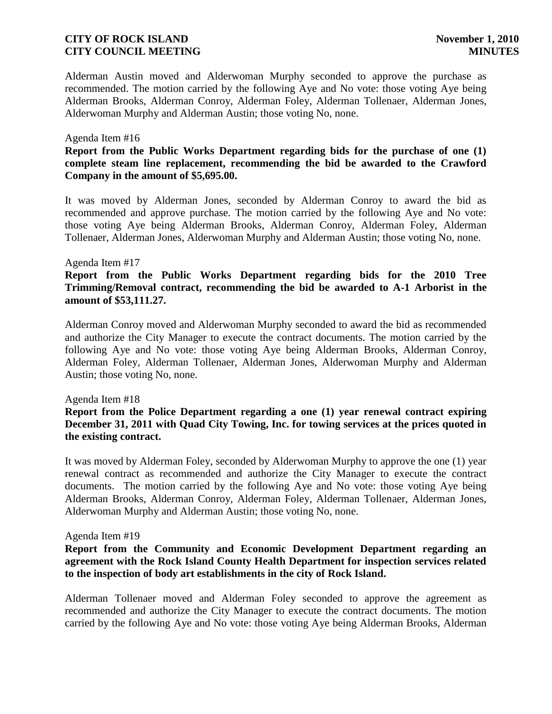Alderman Austin moved and Alderwoman Murphy seconded to approve the purchase as recommended. The motion carried by the following Aye and No vote: those voting Aye being Alderman Brooks, Alderman Conroy, Alderman Foley, Alderman Tollenaer, Alderman Jones, Alderwoman Murphy and Alderman Austin; those voting No, none.

#### Agenda Item #16

## **Report from the Public Works Department regarding bids for the purchase of one (1) complete steam line replacement, recommending the bid be awarded to the Crawford Company in the amount of \$5,695.00.**

It was moved by Alderman Jones, seconded by Alderman Conroy to award the bid as recommended and approve purchase. The motion carried by the following Aye and No vote: those voting Aye being Alderman Brooks, Alderman Conroy, Alderman Foley, Alderman Tollenaer, Alderman Jones, Alderwoman Murphy and Alderman Austin; those voting No, none.

### Agenda Item #17

### **Report from the Public Works Department regarding bids for the 2010 Tree Trimming/Removal contract, recommending the bid be awarded to A-1 Arborist in the amount of \$53,111.27.**

Alderman Conroy moved and Alderwoman Murphy seconded to award the bid as recommended and authorize the City Manager to execute the contract documents. The motion carried by the following Aye and No vote: those voting Aye being Alderman Brooks, Alderman Conroy, Alderman Foley, Alderman Tollenaer, Alderman Jones, Alderwoman Murphy and Alderman Austin; those voting No, none.

#### Agenda Item #18

# **Report from the Police Department regarding a one (1) year renewal contract expiring December 31, 2011 with Quad City Towing, Inc. for towing services at the prices quoted in the existing contract.**

It was moved by Alderman Foley, seconded by Alderwoman Murphy to approve the one (1) year renewal contract as recommended and authorize the City Manager to execute the contract documents. The motion carried by the following Aye and No vote: those voting Aye being Alderman Brooks, Alderman Conroy, Alderman Foley, Alderman Tollenaer, Alderman Jones, Alderwoman Murphy and Alderman Austin; those voting No, none.

#### Agenda Item #19

### **Report from the Community and Economic Development Department regarding an agreement with the Rock Island County Health Department for inspection services related to the inspection of body art establishments in the city of Rock Island.**

Alderman Tollenaer moved and Alderman Foley seconded to approve the agreement as recommended and authorize the City Manager to execute the contract documents. The motion carried by the following Aye and No vote: those voting Aye being Alderman Brooks, Alderman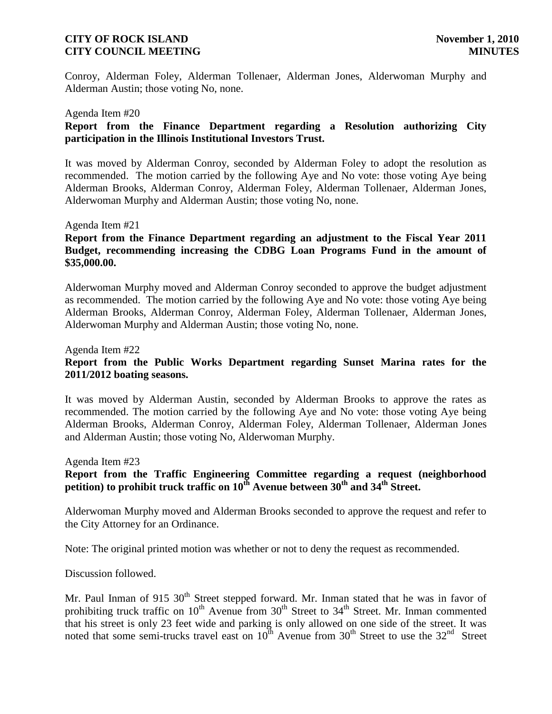Conroy, Alderman Foley, Alderman Tollenaer, Alderman Jones, Alderwoman Murphy and Alderman Austin; those voting No, none.

#### Agenda Item #20

# **Report from the Finance Department regarding a Resolution authorizing City participation in the Illinois Institutional Investors Trust.**

It was moved by Alderman Conroy, seconded by Alderman Foley to adopt the resolution as recommended. The motion carried by the following Aye and No vote: those voting Aye being Alderman Brooks, Alderman Conroy, Alderman Foley, Alderman Tollenaer, Alderman Jones, Alderwoman Murphy and Alderman Austin; those voting No, none.

### Agenda Item #21

# **Report from the Finance Department regarding an adjustment to the Fiscal Year 2011 Budget, recommending increasing the CDBG Loan Programs Fund in the amount of \$35,000.00.**

Alderwoman Murphy moved and Alderman Conroy seconded to approve the budget adjustment as recommended. The motion carried by the following Aye and No vote: those voting Aye being Alderman Brooks, Alderman Conroy, Alderman Foley, Alderman Tollenaer, Alderman Jones, Alderwoman Murphy and Alderman Austin; those voting No, none.

#### Agenda Item #22

# **Report from the Public Works Department regarding Sunset Marina rates for the 2011/2012 boating seasons.**

It was moved by Alderman Austin, seconded by Alderman Brooks to approve the rates as recommended. The motion carried by the following Aye and No vote: those voting Aye being Alderman Brooks, Alderman Conroy, Alderman Foley, Alderman Tollenaer, Alderman Jones and Alderman Austin; those voting No, Alderwoman Murphy.

#### Agenda Item #23

# **Report from the Traffic Engineering Committee regarding a request (neighborhood petition) to prohibit truck traffic on 10th Avenue between 30th and 34th Street.**

Alderwoman Murphy moved and Alderman Brooks seconded to approve the request and refer to the City Attorney for an Ordinance.

Note: The original printed motion was whether or not to deny the request as recommended.

Discussion followed.

Mr. Paul Inman of 915 30<sup>th</sup> Street stepped forward. Mr. Inman stated that he was in favor of prohibiting truck traffic on  $10^{th}$  Avenue from  $30^{th}$  Street to  $34^{th}$  Street. Mr. Inman commented that his street is only 23 feet wide and parking is only allowed on one side of the street. It was noted that some semi-trucks travel east on  $10^{th}$  Avenue from  $30^{th}$  Street to use the  $32^{nd}$  Street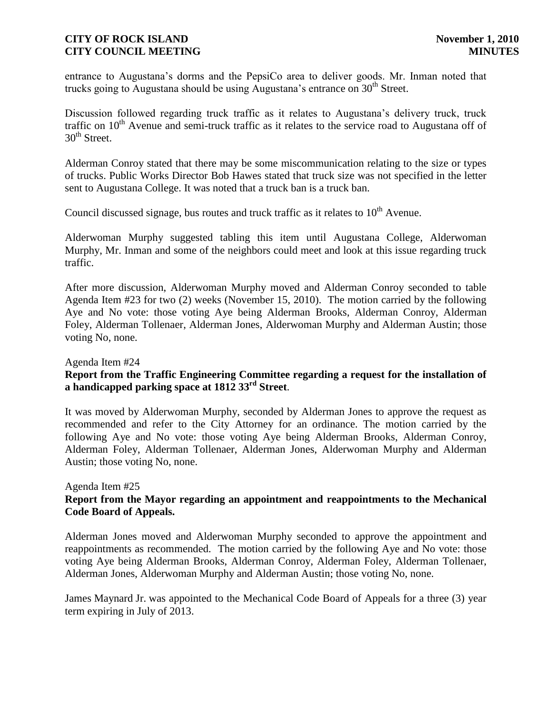entrance to Augustana's dorms and the PepsiCo area to deliver goods. Mr. Inman noted that trucks going to Augustana should be using Augustana's entrance on 30<sup>th</sup> Street.

Discussion followed regarding truck traffic as it relates to Augustana's delivery truck, truck traffic on  $10<sup>th</sup>$  Avenue and semi-truck traffic as it relates to the service road to Augustana off of  $30<sup>th</sup>$  Street.

Alderman Conroy stated that there may be some miscommunication relating to the size or types of trucks. Public Works Director Bob Hawes stated that truck size was not specified in the letter sent to Augustana College. It was noted that a truck ban is a truck ban.

Council discussed signage, bus routes and truck traffic as it relates to  $10<sup>th</sup>$  Avenue.

Alderwoman Murphy suggested tabling this item until Augustana College, Alderwoman Murphy, Mr. Inman and some of the neighbors could meet and look at this issue regarding truck traffic.

After more discussion, Alderwoman Murphy moved and Alderman Conroy seconded to table Agenda Item #23 for two (2) weeks (November 15, 2010). The motion carried by the following Aye and No vote: those voting Aye being Alderman Brooks, Alderman Conroy, Alderman Foley, Alderman Tollenaer, Alderman Jones, Alderwoman Murphy and Alderman Austin; those voting No, none.

#### Agenda Item #24

## **Report from the Traffic Engineering Committee regarding a request for the installation of a handicapped parking space at 1812 33rd Street**.

It was moved by Alderwoman Murphy, seconded by Alderman Jones to approve the request as recommended and refer to the City Attorney for an ordinance. The motion carried by the following Aye and No vote: those voting Aye being Alderman Brooks, Alderman Conroy, Alderman Foley, Alderman Tollenaer, Alderman Jones, Alderwoman Murphy and Alderman Austin; those voting No, none.

### Agenda Item #25 **Report from the Mayor regarding an appointment and reappointments to the Mechanical Code Board of Appeals.**

Alderman Jones moved and Alderwoman Murphy seconded to approve the appointment and reappointments as recommended. The motion carried by the following Aye and No vote: those voting Aye being Alderman Brooks, Alderman Conroy, Alderman Foley, Alderman Tollenaer, Alderman Jones, Alderwoman Murphy and Alderman Austin; those voting No, none.

James Maynard Jr. was appointed to the Mechanical Code Board of Appeals for a three (3) year term expiring in July of 2013.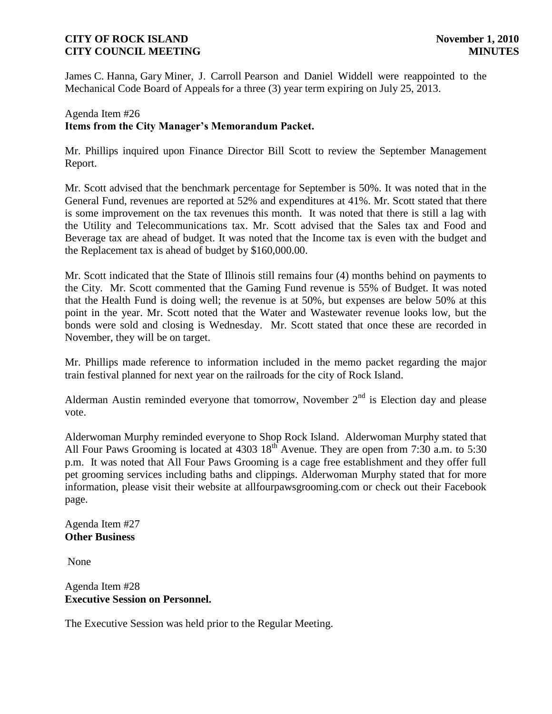James C. Hanna, Gary Miner, J. Carroll Pearson and Daniel Widdell were reappointed to the Mechanical Code Board of Appeals for a three (3) year term expiring on July 25, 2013.

# Agenda Item #26 **Items from the City Manager's Memorandum Packet.**

Mr. Phillips inquired upon Finance Director Bill Scott to review the September Management Report.

Mr. Scott advised that the benchmark percentage for September is 50%. It was noted that in the General Fund, revenues are reported at 52% and expenditures at 41%. Mr. Scott stated that there is some improvement on the tax revenues this month. It was noted that there is still a lag with the Utility and Telecommunications tax. Mr. Scott advised that the Sales tax and Food and Beverage tax are ahead of budget. It was noted that the Income tax is even with the budget and the Replacement tax is ahead of budget by \$160,000.00.

Mr. Scott indicated that the State of Illinois still remains four (4) months behind on payments to the City. Mr. Scott commented that the Gaming Fund revenue is 55% of Budget. It was noted that the Health Fund is doing well; the revenue is at 50%, but expenses are below 50% at this point in the year. Mr. Scott noted that the Water and Wastewater revenue looks low, but the bonds were sold and closing is Wednesday. Mr. Scott stated that once these are recorded in November, they will be on target.

Mr. Phillips made reference to information included in the memo packet regarding the major train festival planned for next year on the railroads for the city of Rock Island.

Alderman Austin reminded everyone that tomorrow, November  $2<sup>nd</sup>$  is Election day and please vote.

Alderwoman Murphy reminded everyone to Shop Rock Island. Alderwoman Murphy stated that All Four Paws Grooming is located at  $4303 \times 18^{th}$  Avenue. They are open from 7:30 a.m. to 5:30 p.m. It was noted that All Four Paws Grooming is a cage free establishment and they offer full pet grooming services including baths and clippings. Alderwoman Murphy stated that for more information, please visit their website at allfourpawsgrooming.com or check out their Facebook page.

Agenda Item #27 **Other Business**

None

Agenda Item #28 **Executive Session on Personnel.** 

The Executive Session was held prior to the Regular Meeting.